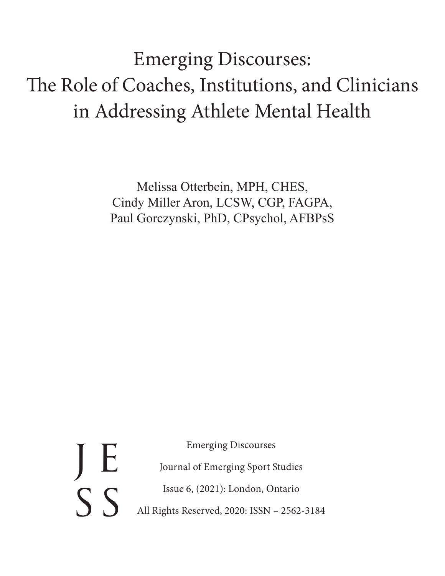Emerging Discourses: The Role of Coaches, Institutions, and Clinicians in Addressing Athlete Mental Health

> Melissa Otterbein, MPH, CHES, Cindy Miller Aron, LCSW, CGP, FAGPA, Paul Gorczynski, PhD, CPsychol, AFBPsS

Emerging Discourses Journal of Emerging Sport Studies Issue 6, (2021): London, Ontario All Rights Reserved, 2020: ISSN – 2562-3184 J E  $S$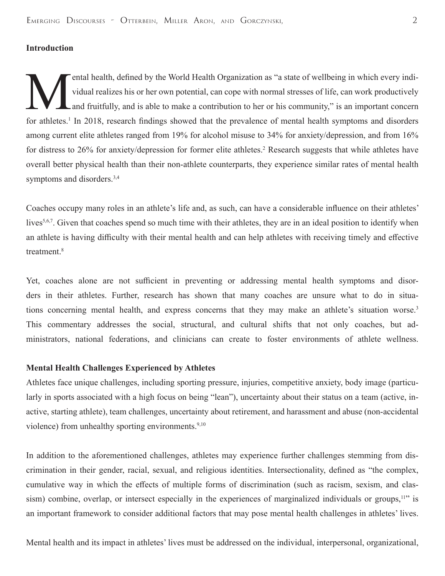# **Introduction**

ental health, defined by the World Health Organization as "a state of wellbeing in which every indi-<br>vidual realizes his or her own potential, can cope with normal stresses of life, can work productively<br>and fruitfully, an vidual realizes his or her own potential, can cope with normal stresses of life, can work productively and fruitfully, and is able to make a contribution to her or his community," is an important concern for athletes.<sup>1</sup> In 2018, research findings showed that the prevalence of mental health symptoms and disorders among current elite athletes ranged from 19% for alcohol misuse to 34% for anxiety/depression, and from 16% for distress to 26% for anxiety/depression for former elite athletes.<sup>2</sup> Research suggests that while athletes have overall better physical health than their non-athlete counterparts, they experience similar rates of mental health symptoms and disorders.<sup>3,4</sup>

Coaches occupy many roles in an athlete's life and, as such, can have a considerable influence on their athletes' lives<sup>5,6,7</sup>. Given that coaches spend so much time with their athletes, they are in an ideal position to identify when an athlete is having difficulty with their mental health and can help athletes with receiving timely and effective treatment.<sup>8</sup>

Yet, coaches alone are not sufficient in preventing or addressing mental health symptoms and disorders in their athletes. Further, research has shown that many coaches are unsure what to do in situations concerning mental health, and express concerns that they may make an athlete's situation worse.<sup>3</sup> This commentary addresses the social, structural, and cultural shifts that not only coaches, but administrators, national federations, and clinicians can create to foster environments of athlete wellness.

### **Mental Health Challenges Experienced by Athletes**

Athletes face unique challenges, including sporting pressure, injuries, competitive anxiety, body image (particularly in sports associated with a high focus on being "lean"), uncertainty about their status on a team (active, inactive, starting athlete), team challenges, uncertainty about retirement, and harassment and abuse (non-accidental violence) from unhealthy sporting environments.<sup>9,10</sup>

In addition to the aforementioned challenges, athletes may experience further challenges stemming from discrimination in their gender, racial, sexual, and religious identities. Intersectionality, defined as "the complex, cumulative way in which the effects of multiple forms of discrimination (such as racism, sexism, and classism) combine, overlap, or intersect especially in the experiences of marginalized individuals or groups,<sup>11</sup> is an important framework to consider additional factors that may pose mental health challenges in athletes' lives.

Mental health and its impact in athletes' lives must be addressed on the individual, interpersonal, organizational,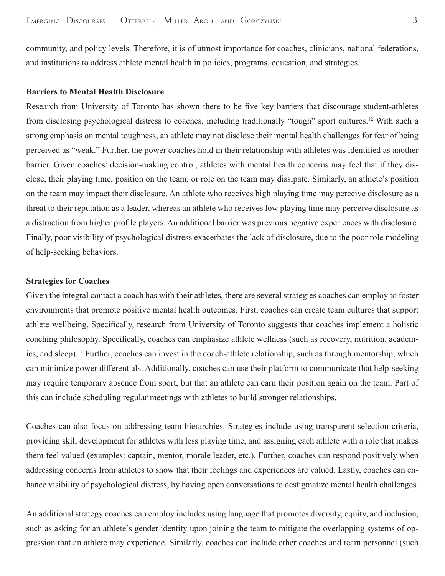community, and policy levels. Therefore, it is of utmost importance for coaches, clinicians, national federations, and institutions to address athlete mental health in policies, programs, education, and strategies.

#### **Barriers to Mental Health Disclosure**

Research from University of Toronto has shown there to be five key barriers that discourage student-athletes from disclosing psychological distress to coaches, including traditionally "tough" sport cultures.12 With such a strong emphasis on mental toughness, an athlete may not disclose their mental health challenges for fear of being perceived as "weak." Further, the power coaches hold in their relationship with athletes was identified as another barrier. Given coaches' decision-making control, athletes with mental health concerns may feel that if they disclose, their playing time, position on the team, or role on the team may dissipate. Similarly, an athlete's position on the team may impact their disclosure. An athlete who receives high playing time may perceive disclosure as a threat to their reputation as a leader, whereas an athlete who receives low playing time may perceive disclosure as a distraction from higher profile players. An additional barrier was previous negative experiences with disclosure. Finally, poor visibility of psychological distress exacerbates the lack of disclosure, due to the poor role modeling of help-seeking behaviors.

#### **Strategies for Coaches**

Given the integral contact a coach has with their athletes, there are several strategies coaches can employ to foster environments that promote positive mental health outcomes. First, coaches can create team cultures that support athlete wellbeing. Specifically, research from University of Toronto suggests that coaches implement a holistic coaching philosophy. Specifically, coaches can emphasize athlete wellness (such as recovery, nutrition, academics, and sleep).<sup>12</sup> Further, coaches can invest in the coach-athlete relationship, such as through mentorship, which can minimize power differentials. Additionally, coaches can use their platform to communicate that help-seeking may require temporary absence from sport, but that an athlete can earn their position again on the team. Part of this can include scheduling regular meetings with athletes to build stronger relationships.

Coaches can also focus on addressing team hierarchies. Strategies include using transparent selection criteria, providing skill development for athletes with less playing time, and assigning each athlete with a role that makes them feel valued (examples: captain, mentor, morale leader, etc.). Further, coaches can respond positively when addressing concerns from athletes to show that their feelings and experiences are valued. Lastly, coaches can enhance visibility of psychological distress, by having open conversations to destigmatize mental health challenges.

An additional strategy coaches can employ includes using language that promotes diversity, equity, and inclusion, such as asking for an athlete's gender identity upon joining the team to mitigate the overlapping systems of oppression that an athlete may experience. Similarly, coaches can include other coaches and team personnel (such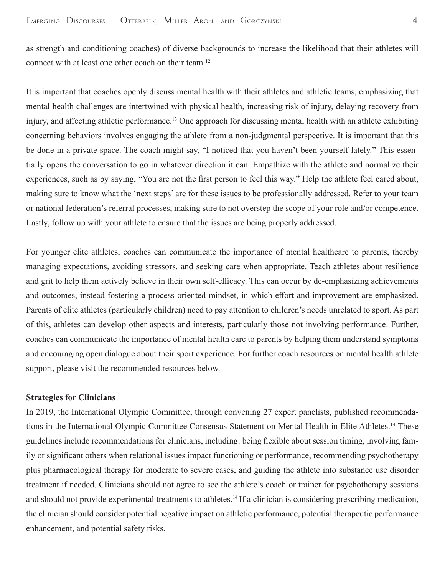as strength and conditioning coaches) of diverse backgrounds to increase the likelihood that their athletes will connect with at least one other coach on their team.<sup>12</sup>

It is important that coaches openly discuss mental health with their athletes and athletic teams, emphasizing that mental health challenges are intertwined with physical health, increasing risk of injury, delaying recovery from injury, and affecting athletic performance.<sup>13</sup> One approach for discussing mental health with an athlete exhibiting concerning behaviors involves engaging the athlete from a non-judgmental perspective. It is important that this be done in a private space. The coach might say, "I noticed that you haven't been yourself lately." This essentially opens the conversation to go in whatever direction it can. Empathize with the athlete and normalize their experiences, such as by saying, "You are not the first person to feel this way." Help the athlete feel cared about, making sure to know what the 'next steps' are for these issues to be professionally addressed. Refer to your team or national federation's referral processes, making sure to not overstep the scope of your role and/or competence. Lastly, follow up with your athlete to ensure that the issues are being properly addressed.

For younger elite athletes, coaches can communicate the importance of mental healthcare to parents, thereby managing expectations, avoiding stressors, and seeking care when appropriate. Teach athletes about resilience and grit to help them actively believe in their own self-efficacy. This can occur by de-emphasizing achievements and outcomes, instead fostering a process-oriented mindset, in which effort and improvement are emphasized. Parents of elite athletes (particularly children) need to pay attention to children's needs unrelated to sport. As part of this, athletes can develop other aspects and interests, particularly those not involving performance. Further, coaches can communicate the importance of mental health care to parents by helping them understand symptoms and encouraging open dialogue about their sport experience. For further coach resources on mental health athlete support, please visit the recommended resources below.

### **Strategies for Clinicians**

In 2019, the International Olympic Committee, through convening 27 expert panelists, published recommendations in the International Olympic Committee Consensus Statement on Mental Health in Elite Athletes.14 These guidelines include recommendations for clinicians, including: being flexible about session timing, involving family or significant others when relational issues impact functioning or performance, recommending psychotherapy plus pharmacological therapy for moderate to severe cases, and guiding the athlete into substance use disorder treatment if needed. Clinicians should not agree to see the athlete's coach or trainer for psychotherapy sessions and should not provide experimental treatments to athletes.<sup>14</sup> If a clinician is considering prescribing medication, the clinician should consider potential negative impact on athletic performance, potential therapeutic performance enhancement, and potential safety risks.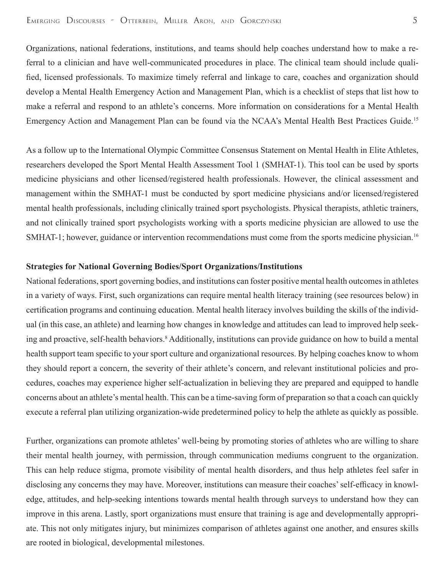Organizations, national federations, institutions, and teams should help coaches understand how to make a referral to a clinician and have well-communicated procedures in place. The clinical team should include qualified, licensed professionals. To maximize timely referral and linkage to care, coaches and organization should develop a Mental Health Emergency Action and Management Plan, which is a checklist of steps that list how to make a referral and respond to an athlete's concerns. More information on considerations for a Mental Health Emergency Action and Management Plan can be found via the NCAA's Mental Health Best Practices Guide.<sup>15</sup>

As a follow up to the International Olympic Committee Consensus Statement on Mental Health in Elite Athletes, researchers developed the Sport Mental Health Assessment Tool 1 (SMHAT-1). This tool can be used by sports medicine physicians and other licensed/registered health professionals. However, the clinical assessment and management within the SMHAT-1 must be conducted by sport medicine physicians and/or licensed/registered mental health professionals, including clinically trained sport psychologists. Physical therapists, athletic trainers, and not clinically trained sport psychologists working with a sports medicine physician are allowed to use the SMHAT-1; however, guidance or intervention recommendations must come from the sports medicine physician.<sup>16</sup>

#### **Strategies for National Governing Bodies/Sport Organizations/Institutions**

National federations, sport governing bodies, and institutions can foster positive mental health outcomes in athletes in a variety of ways. First, such organizations can require mental health literacy training (see resources below) in certification programs and continuing education. Mental health literacy involves building the skills of the individual (in this case, an athlete) and learning how changes in knowledge and attitudes can lead to improved help seeking and proactive, self-health behaviors.<sup>8</sup> Additionally, institutions can provide guidance on how to build a mental health support team specific to your sport culture and organizational resources. By helping coaches know to whom they should report a concern, the severity of their athlete's concern, and relevant institutional policies and procedures, coaches may experience higher self-actualization in believing they are prepared and equipped to handle concerns about an athlete's mental health. This can be a time-saving form of preparation so that a coach can quickly execute a referral plan utilizing organization-wide predetermined policy to help the athlete as quickly as possible.

Further, organizations can promote athletes' well-being by promoting stories of athletes who are willing to share their mental health journey, with permission, through communication mediums congruent to the organization. This can help reduce stigma, promote visibility of mental health disorders, and thus help athletes feel safer in disclosing any concerns they may have. Moreover, institutions can measure their coaches' self-efficacy in knowledge, attitudes, and help-seeking intentions towards mental health through surveys to understand how they can improve in this arena. Lastly, sport organizations must ensure that training is age and developmentally appropriate. This not only mitigates injury, but minimizes comparison of athletes against one another, and ensures skills are rooted in biological, developmental milestones.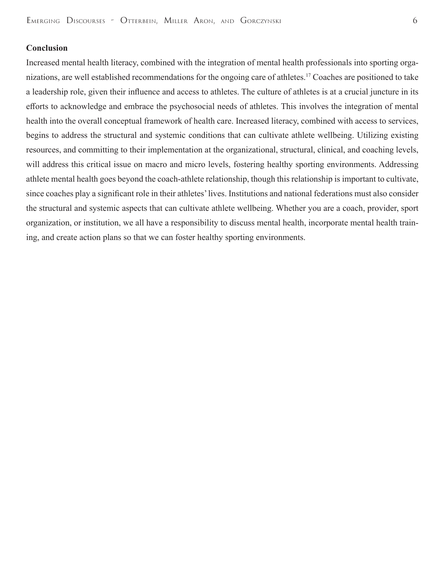### **Conclusion**

Increased mental health literacy, combined with the integration of mental health professionals into sporting organizations, are well established recommendations for the ongoing care of athletes.17 Coaches are positioned to take a leadership role, given their influence and access to athletes. The culture of athletes is at a crucial juncture in its efforts to acknowledge and embrace the psychosocial needs of athletes. This involves the integration of mental health into the overall conceptual framework of health care. Increased literacy, combined with access to services, begins to address the structural and systemic conditions that can cultivate athlete wellbeing. Utilizing existing resources, and committing to their implementation at the organizational, structural, clinical, and coaching levels, will address this critical issue on macro and micro levels, fostering healthy sporting environments. Addressing athlete mental health goes beyond the coach-athlete relationship, though this relationship is important to cultivate, since coaches play a significant role in their athletes' lives. Institutions and national federations must also consider the structural and systemic aspects that can cultivate athlete wellbeing. Whether you are a coach, provider, sport organization, or institution, we all have a responsibility to discuss mental health, incorporate mental health training, and create action plans so that we can foster healthy sporting environments.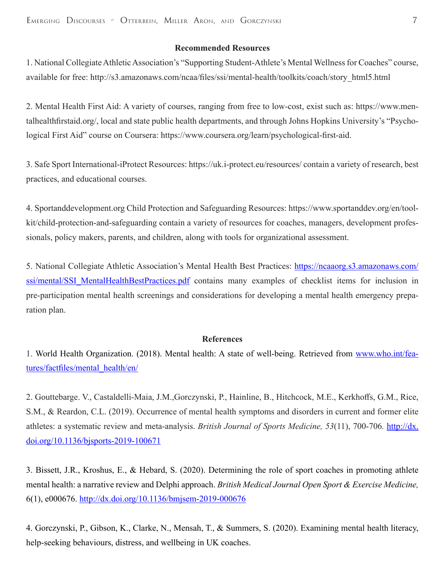## **Recommended Resources**

1. National Collegiate Athletic Association's "Supporting Student-Athlete's Mental Wellness for Coaches" course, available for free: http://s3.amazonaws.com/ncaa/files/ssi/mental-health/toolkits/coach/story\_html5.html

2. Mental Health First Aid: A variety of courses, ranging from free to low-cost, exist such as: https://www.mentalhealthfirstaid.org/, local and state public health departments, and through Johns Hopkins University's "Psychological First Aid" course on Coursera: https://www.coursera.org/learn/psychological-first-aid.

3. Safe Sport International-iProtect Resources: https://uk.i-protect.eu/resources/ contain a variety of research, best practices, and educational courses.

4. Sportanddevelopment.org Child Protection and Safeguarding Resources: https://www.sportanddev.org/en/toolkit/child-protection-and-safeguarding contain a variety of resources for coaches, managers, development professionals, policy makers, parents, and children, along with tools for organizational assessment.

5. National Collegiate Athletic Association's Mental Health Best Practices: https://ncaaorg.s3.amazonaws.com/ ssi/mental/SSI\_MentalHealthBestPractices.pdf contains many examples of checklist items for inclusion in pre-participation mental health screenings and considerations for developing a mental health emergency preparation plan.

#### **References**

1. World Health Organization. (2018). Mental health: A state of well-being. Retrieved from www.who.int/features/factfiles/mental\_health/en/

2. Gouttebarge. V., Castaldelli-Maia, J.M.,Gorczynski, P., Hainline, B., Hitchcock, M.E., Kerkhoffs, G.M., Rice, S.M., & Reardon, C.L. (2019). Occurrence of mental health symptoms and disorders in current and former elite athletes: a systematic review and meta-analysis. *British Journal of Sports Medicine, 53*(11), 700-706*.* http://dx. doi.org/10.1136/bjsports-2019-100671

3. Bissett, J.R., Kroshus, E., & Hebard, S. (2020). Determining the role of sport coaches in promoting athlete mental health: a narrative review and Delphi approach. *British Medical Journal Open Sport & Exercise Medicine,*  6(1), e000676. http://dx.doi.org/10.1136/bmjsem-2019-000676

4. Gorczynski, P., Gibson, K., Clarke, N., Mensah, T., & Summers, S. (2020). Examining mental health literacy, help-seeking behaviours, distress, and wellbeing in UK coaches.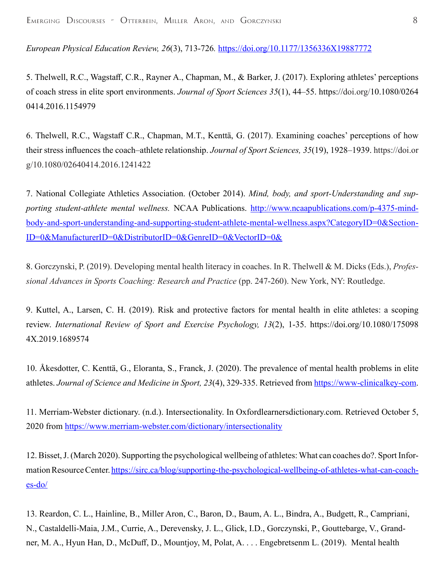*European Physical Education Review, 26*(3), 713-726*.* https://doi.org/10.1177/1356336X19887772

5. Thelwell, R.C., Wagstaff, C.R., Rayner A., Chapman, M., & Barker, J. (2017). Exploring athletes' perceptions of coach stress in elite sport environments. *Journal of Sport Sciences 35*(1), 44–55. https://doi.org/10.1080/0264 0414.2016.1154979

6. Thelwell, R.C., Wagstaff C.R., Chapman, M.T., Kenttä, G. (2017). Examining coaches' perceptions of how their stress influences the coach–athlete relationship. *Journal of Sport Sciences, 35*(19), 1928–1939. https://doi.or g/10.1080/02640414.2016.1241422

7. National Collegiate Athletics Association. (October 2014). *Mind, body, and sport-Understanding and supporting student-athlete mental wellness.* NCAA Publications. http://www.ncaapublications.com/p-4375-mindbody-and-sport-understanding-and-supporting-student-athlete-mental-wellness.aspx?CategoryID=0&Section-ID=0&ManufacturerID=0&DistributorID=0&GenreID=0&VectorID=0&

8. Gorczynski, P. (2019). Developing mental health literacy in coaches. In R. Thelwell & M. Dicks (Eds.), *Professional Advances in Sports Coaching: Research and Practice* (pp. 247-260). New York, NY: Routledge.

9. Kuttel, A., Larsen, C. H. (2019). Risk and protective factors for mental health in elite athletes: a scoping review. *International Review of Sport and Exercise Psychology, 13*(2), 1-35. https://doi.org/10.1080/175098 4X.2019.1689574

10. Åkesdotter, C. Kenttä, G., Eloranta, S., Franck, J. (2020). The prevalence of mental health problems in elite athletes. *Journal of Science and Medicine in Sport, 23*(4), 329-335. Retrieved from https://www-clinicalkey-com.

11. Merriam-Webster dictionary. (n.d.). Intersectionality. In Oxfordlearnersdictionary.com. Retrieved October 5, 2020 from https://www.merriam-webster.com/dictionary/intersectionality

12. Bisset, J. (March 2020). Supporting the psychological wellbeing of athletes: What can coaches do?. Sport Information Resource Center. https://sirc.ca/blog/supporting-the-psychological-wellbeing-of-athletes-what-can-coaches-do/

13. Reardon, C. L., Hainline, B., Miller Aron, C., Baron, D., Baum, A. L., Bindra, A., Budgett, R., Campriani, N., Castaldelli-Maia, J.M., Currie, A., Derevensky, J. L., Glick, I.D., Gorczynski, P., Gouttebarge, V., Grandner, M. A., Hyun Han, D., McDuff, D., Mountjoy, M, Polat, A. . . . Engebretsenm L. (2019). Mental health